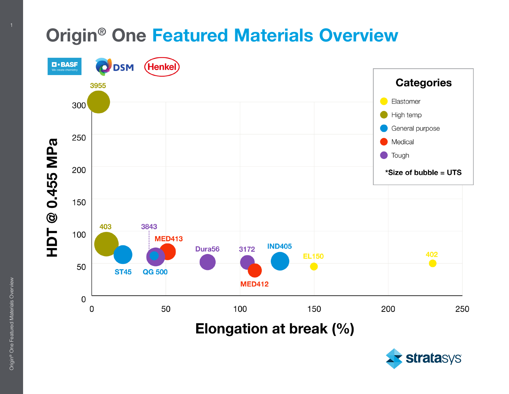## Origin® One Featured Materials Overview



Elongation at break (%)

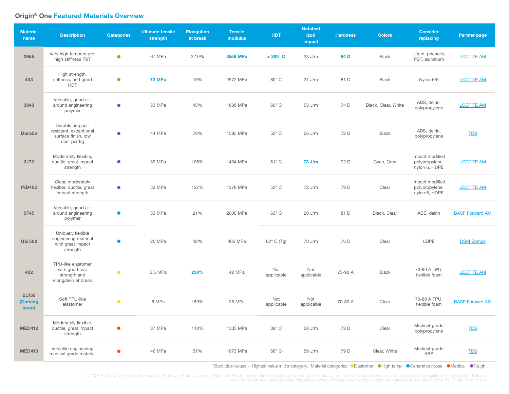## Origin® One Featured Materials Overview

| <b>Material</b><br>name          | <b>Description</b>                                                               | <b>Categories</b> | <b>Ultimate tensile</b><br>strength | <b>Elongation</b><br>at break | <b>Tensile</b><br>modulus | <b>HDT</b>        | <b>Notched</b><br>izod<br>impact | <b>Hardness</b> | <b>Colors</b>       | <b>Consider</b><br>replacing                       | <b>Partner page</b>    |
|----------------------------------|----------------------------------------------------------------------------------|-------------------|-------------------------------------|-------------------------------|---------------------------|-------------------|----------------------------------|-----------------|---------------------|----------------------------------------------------|------------------------|
| 3955                             | Very high temperature,<br>high stiffness FST                                     | $\bullet$         | 67 MPa                              | 2.10%                         | 3556 MPa                  | $>300^{\circ}$ C  | $23$ J/m                         | 84 D            | <b>Black</b>        | Ultem, phenolic,<br>PBT, aluminum                  | <b>LOCTITE AM</b>      |
| 403                              | High strength,<br>stiffness, and good<br><b>HDT</b>                              | $\bullet$         | <b>72 MPa</b>                       | 10%                           | 2572 MPa                  | $80^\circ$ C      | $27$ J/m                         | 81 D            | <b>Black</b>        | Nylon 6/6                                          | <b>LOCTITE AM</b>      |
| 3843                             | Versatile, good all-<br>around engineering<br>polymer                            | $\bullet$         | 53 MPa                              | 43%                           | 1806 MPa                  | $60^{\circ}$ C    | 53 J/m                           | 74 D            | Black, Clear, White | ABS, delrin,<br>polypropylene                      | <b>LOCTITE AM</b>      |
| Dura <sub>56</sub>               | Durable, impact-<br>resistant, exceptional<br>surface finish, low<br>cost per kg | $\bullet$         | 44 MPa                              | 78%                           | 1595 MPa                  | 52° C             | 56 J/m                           | 72 D            | <b>Black</b>        | ABS, delrin,<br>polypropylene                      | <b>TDS</b>             |
| 3172                             | Moderately flexible,<br>ductile, great impact<br>strength                        | $\bullet$         | 39 MPa                              | 105%                          | 1494 MPa                  | $51^{\circ}$ C    | 73 J/m                           | 72 D            | Cyan, Grey          | Impact modified<br>polypropylene,<br>nylon 6, HDPE | <b>LOCTITE AM</b>      |
| <b>IND405</b>                    | Clear, moderately<br>flexible, ductile, great<br>impact strength                 | $\bullet$         | 52 MPa                              | 127%                          | 1378 MPa                  | 53° C             | 72 J/m                           | 79 D            | Clear               | Impact modified<br>polypropylene,<br>nylon 6, HDPE | <b>LOCTITE AM</b>      |
| <b>ST45</b>                      | Versatile, good all-<br>around engineering<br>polymer                            | $\bullet$         | 53 MPa                              | 21%                           | 2000 MPa                  | 63° C             | $20$ J/m                         | 81 D            | Black, Clear        | ABS, delrin                                        | <b>BASF Forward AM</b> |
| QG 500                           | Uniquely flexible<br>engineering material<br>with great impact<br>strength       | $\bullet$         | 20 MPa                              | 42%                           | 465 MPa                   | 62° C (Tg)        | 70 J/m                           | 76 D            | Clear               | <b>LDPE</b>                                        | <b>DSM Somos</b>       |
| 402                              | TPU-like elastomer<br>with good tear<br>strength and<br>elongation at break      | $\bullet$         | 5.5 MPa                             | 230%                          | 42 MPa                    | Not<br>applicable | Not<br>applicable                | 75-90 A         | <b>Black</b>        | 70-90 A TPU,<br>flexible foam                      | <b>LOCTITE AM</b>      |
| <b>EL150</b><br>(Coming<br>soon) | Soft TPU-like<br>elastomer                                                       | $\bullet$         | 6 MPa                               | 150%                          | 25 MPa                    | Not<br>applicable | Not<br>applicable                | 70-80 A         | Clear               | 70-80 A TPU,<br>flexible foam                      | <b>BASF Forward AM</b> |
| <b>MED412</b>                    | Moderately flexible,<br>ductile, great impact<br>strength                        | $\bullet$         | 37 MPa                              | 110%                          | 1305 MPa                  | $39^\circ$ C      | 50 J/m                           | 78 D            | Clear               | Medical-grade<br>polypropylene                     | <b>TDS</b>             |
| <b>MED413</b>                    | Versatile engineering<br>medical grade material                                  |                   | 46 MPa                              | 51%                           | 1673 MPa                  | 68° C             | 59 J/m                           | 79 D            | Clear, White        | Medical-grade<br>ABS                               | <b>TDS</b>             |

\*Bold blue values = Highest value in it's category. Material categories: CElastomer CHigh temp CGeneral purpose CMedical CTough